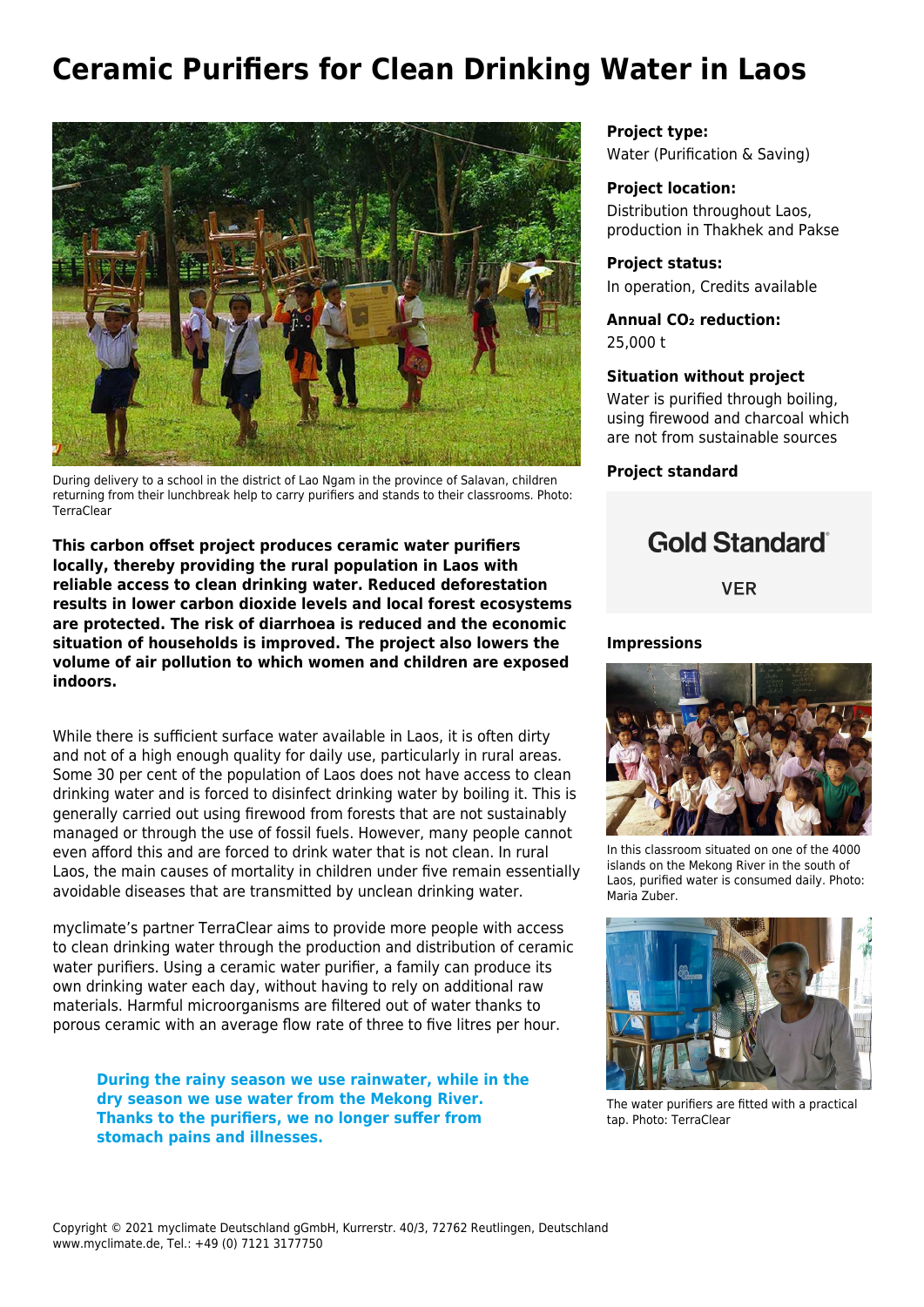# **Ceramic Purifiers for Clean Drinking Water in Laos**



During delivery to a school in the district of Lao Ngam in the province of Salavan, children returning from their lunchbreak help to carry purifiers and stands to their classrooms. Photo: TerraClear

**This carbon offset project produces ceramic water purifiers locally, thereby providing the rural population in Laos with reliable access to clean drinking water. Reduced deforestation results in lower carbon dioxide levels and local forest ecosystems are protected. The risk of diarrhoea is reduced and the economic situation of households is improved. The project also lowers the volume of air pollution to which women and children are exposed indoors.** 

While there is sufficient surface water available in Laos, it is often dirty and not of a high enough quality for daily use, particularly in rural areas. Some 30 per cent of the population of Laos does not have access to clean drinking water and is forced to disinfect drinking water by boiling it. This is generally carried out using firewood from forests that are not sustainably managed or through the use of fossil fuels. However, many people cannot even afford this and are forced to drink water that is not clean. In rural Laos, the main causes of mortality in children under five remain essentially avoidable diseases that are transmitted by unclean drinking water.

myclimate's partner TerraClear aims to provide more people with access to clean drinking water through the production and distribution of ceramic water purifiers. Using a ceramic water purifier, a family can produce its own drinking water each day, without having to rely on additional raw materials. Harmful microorganisms are filtered out of water thanks to porous ceramic with an average flow rate of three to five litres per hour.

**During the rainy season we use rainwater, while in the dry season we use water from the Mekong River. Thanks to the purifiers, we no longer suffer from stomach pains and illnesses.**

**Project type:** Water (Purification & Saving)

#### **Project location:**

Distribution throughout Laos, production in Thakhek and Pakse

**Project status:** In operation, Credits available

**Annual CO₂ reduction:** 25,000 t

#### **Situation without project**

Water is purified through boiling, using firewood and charcoal which are not from sustainable sources

**Project standard**

## **Gold Standard**®

**VER** 

#### **Impressions**



In this classroom situated on one of the 4000 islands on the Mekong River in the south of Laos, purified water is consumed daily. Photo: Maria Zuber.



The water purifiers are fitted with a practical tap. Photo: TerraClear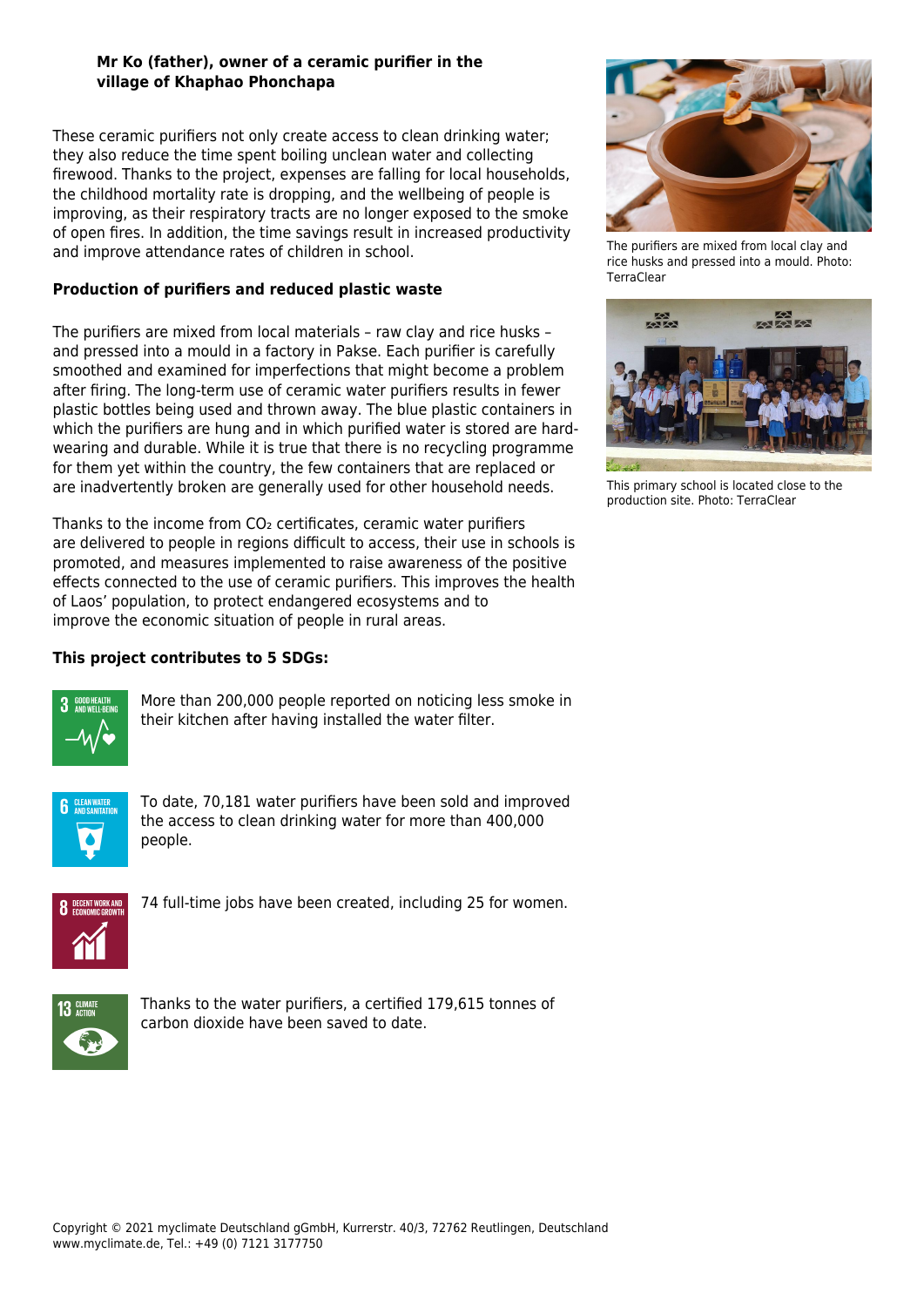### **Mr Ko (father), owner of a ceramic purifier in the village of Khaphao Phonchapa**

These ceramic purifiers not only create access to clean drinking water; they also reduce the time spent boiling unclean water and collecting firewood. Thanks to the project, expenses are falling for local households, the childhood mortality rate is dropping, and the wellbeing of people is improving, as their respiratory tracts are no longer exposed to the smoke of open fires. In addition, the time savings result in increased productivity and improve attendance rates of children in school.

## **Production of purifiers and reduced plastic waste**

The purifiers are mixed from local materials – raw clay and rice husks – and pressed into a mould in a factory in Pakse. Each purifier is carefully smoothed and examined for imperfections that might become a problem after firing. The long-term use of ceramic water purifiers results in fewer plastic bottles being used and thrown away. The blue plastic containers in which the purifiers are hung and in which purified water is stored are hardwearing and durable. While it is true that there is no recycling programme for them yet within the country, the few containers that are replaced or are inadvertently broken are generally used for other household needs.

Thanks to the income from CO<sub>2</sub> certificates, ceramic water purifiers are delivered to people in regions difficult to access, their use in schools is promoted, and measures implemented to raise awareness of the positive effects connected to the use of ceramic purifiers. This improves the health of Laos' population, to protect endangered ecosystems and to improve the economic situation of people in rural areas.

## **This project contributes to 5 SDGs:**



More than 200,000 people reported on noticing less smoke in their kitchen after having installed the water filter.



To date, 70,181 water purifiers have been sold and improved the access to clean drinking water for more than 400,000 people.



74 full-time jobs have been created, including 25 for women.



Thanks to the water purifiers, a certified 179,615 tonnes of carbon dioxide have been saved to date.



The purifiers are mixed from local clay and rice husks and pressed into a mould. Photo: **TerraClear** 



This primary school is located close to the production site. Photo: TerraClear